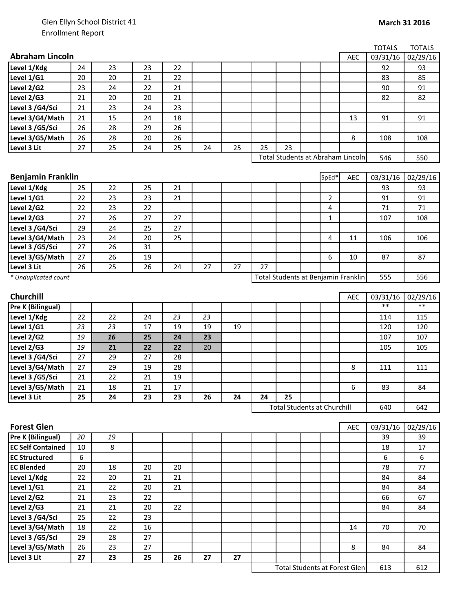|                                                      |         |          |          |    |    |    |    |    |                                     |            | <b>TOTALS</b> | <b>TOTALS</b>  |
|------------------------------------------------------|---------|----------|----------|----|----|----|----|----|-------------------------------------|------------|---------------|----------------|
| <b>Abraham Lincoln</b>                               |         |          |          |    |    |    |    |    |                                     | <b>AEC</b> | 03/31/16      | 02/29/16       |
| Level 1/Kdg                                          | 24      | 23       | 23       | 22 |    |    |    |    |                                     |            | 92            | 93             |
| Level 1/G1                                           | 20      | 20       | 21       | 22 |    |    |    |    |                                     |            | 83            | 85             |
| Level 2/G2                                           | 23      | 24       | 22       | 21 |    |    |    |    |                                     |            | 90            | 91             |
| Level 2/G3                                           | 21      | 20       | 20       | 21 |    |    |    |    |                                     |            | 82            | 82             |
| Level 3 /G4/Sci                                      | 21      | 23       | 24       | 23 |    |    |    |    |                                     |            |               |                |
| Level 3/G4/Math                                      | 21      | 15       | 24       | 18 |    |    |    |    |                                     | 13         | 91            | 91             |
| Level 3 / G5/Sci                                     | 26      | 28       | 29       | 26 |    |    |    |    |                                     |            |               |                |
| Level 3/G5/Math                                      | 26      | 28       | 20       | 26 |    |    |    |    |                                     | 8          | 108           | 108            |
| Level 3 Lit                                          | 27      | 25       | 24       | 25 | 24 | 25 | 25 | 23 |                                     |            |               |                |
|                                                      |         |          |          |    |    |    |    |    | Total Students at Abraham Lincoln   |            | 546           | 550            |
|                                                      |         |          |          |    |    |    |    |    |                                     |            |               |                |
| <b>Benjamin Franklin</b>                             |         |          |          |    |    |    |    |    | SpEd*                               | AEC        | 03/31/16      | 02/29/16       |
| Level 1/Kdg                                          | 25      | 22       | 25       | 21 |    |    |    |    |                                     |            | 93            | 93             |
| Level 1/G1                                           | 22      | 23       | 23       | 21 |    |    |    |    | 2                                   |            | 91            | 91             |
| Level 2/G2                                           | 22      | 23       | 22       |    |    |    |    |    | 4                                   |            | 71            | 71             |
| Level 2/G3                                           | 27      | 26       | 27       | 27 |    |    |    |    | 1                                   |            | 107           | 108            |
| Level 3 /G4/Sci                                      | 29      | 24       | 25       | 27 |    |    |    |    |                                     |            |               |                |
| Level 3/G4/Math                                      | 23      | 24       | 20       | 25 |    |    |    |    | 4                                   | 11         | 106           | 106            |
| Level 3 / G5/Sci                                     | 27      | 26       | 31       |    |    |    |    |    |                                     |            |               |                |
| Level 3/G5/Math                                      | 27      | 26       | 19       |    |    |    |    |    | 6                                   | 10         | 87            | 87             |
| Level 3 Lit                                          | 26      | 25       | 26       | 24 | 27 | 27 | 27 |    |                                     |            |               |                |
| * Unduplicated count                                 |         |          |          |    |    |    |    |    | Total Students at Benjamin Franklin |            | 555           | 556            |
|                                                      |         |          |          |    |    |    |    |    |                                     |            |               |                |
| Churchill                                            |         |          |          |    |    |    |    |    |                                     | AEC        | 03/31/16      | 02/29/16       |
| Pre K (Bilingual)                                    |         |          |          |    |    |    |    |    |                                     |            | $***$         | $***$          |
| Level 1/Kdg                                          | 22      | 22       | 24       | 23 | 23 |    |    |    |                                     |            | 114           | 115            |
| Level 1/G1                                           | 23      | 23       | 17       | 19 | 19 | 19 |    |    |                                     |            | 120           | 120            |
| Level 2/G2                                           | 19      | 16       | 25       | 24 | 23 |    |    |    |                                     |            | 107           | 107            |
| Level 2/G3                                           | 19      | 21       | 22       | 22 | 20 |    |    |    |                                     |            | 105           | 105            |
| Level 3 /G4/Sci                                      | 27      | 29       | 27       | 28 |    |    |    |    |                                     |            |               |                |
| Level 3/G4/Math                                      | 27      | 29       | 19       | 28 |    |    |    |    |                                     | 8          | 111           | 111            |
| Level 3 /G5/Sci                                      | 21      | 22       | 21       | 19 |    |    |    |    |                                     |            |               |                |
| Level 3/G5/Math                                      | 21      | 18       | 21       | 17 |    |    |    |    |                                     | 6          | 83            | 84             |
| Level 3 Lit                                          | 25      | 24       | 23       | 23 | 26 | 24 | 24 | 25 |                                     |            |               |                |
|                                                      |         |          |          |    |    |    |    |    | <b>Total Students at Churchill</b>  |            | 640           | 642            |
| <b>Forest Glen</b>                                   |         |          |          |    |    |    |    |    |                                     |            |               |                |
|                                                      |         |          |          |    |    |    |    |    |                                     | <b>AEC</b> | 03/31/16      | 02/29/16<br>39 |
| <b>Pre K (Bilingual)</b><br><b>EC Self Contained</b> | 20      | 19       |          |    |    |    |    |    |                                     |            | 39            | 17             |
| <b>EC Structured</b>                                 | 10      | 8        |          |    |    |    |    |    |                                     |            | 18            |                |
| <b>EC Blended</b>                                    | 6<br>20 | 18       | 20       | 20 |    |    |    |    |                                     |            | 6<br>78       | 6<br>77        |
| Level 1/Kdg                                          | 22      |          |          | 21 |    |    |    |    |                                     |            | 84            | 84             |
| Level 1/G1                                           | 21      | 20<br>22 | 21<br>20 | 21 |    |    |    |    |                                     |            | 84            | 84             |
| Level 2/G2                                           | 21      | 23       | 22       |    |    |    |    |    |                                     |            | 66            | 67             |
| Level 2/G3                                           | 21      | 21       | 20       | 22 |    |    |    |    |                                     |            | 84            | 84             |
| Level 3 /G4/Sci                                      | 25      | 22       | 23       |    |    |    |    |    |                                     |            |               |                |
| Level 3/G4/Math                                      | 18      | 22       | 16       |    |    |    |    |    |                                     | 14         | 70            | 70             |
| Level 3 /G5/Sci                                      | 29      | 28       | 27       |    |    |    |    |    |                                     |            |               |                |
| Level 3/G5/Math                                      | 26      | 23       | 27       |    |    |    |    |    |                                     | 8          | 84            | 84             |
| Level 3 Lit                                          | 27      | 23       | 25       | 26 | 27 | 27 |    |    |                                     |            |               |                |
|                                                      |         |          |          |    |    |    |    |    |                                     |            |               |                |

613 612 Total Students at Forest Glen